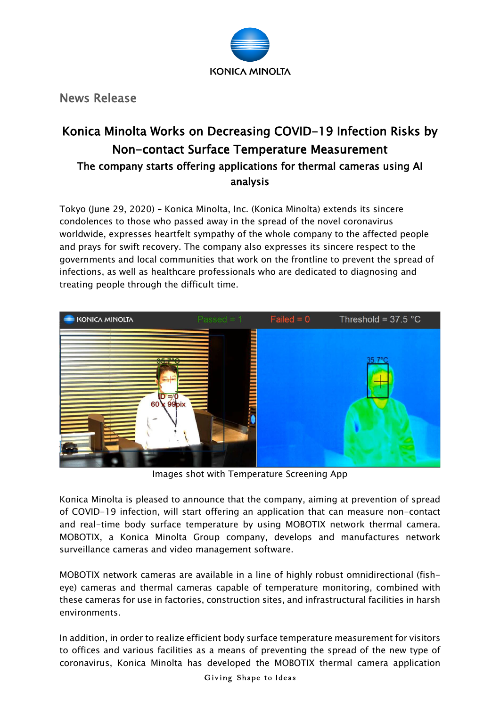

News Release

# Konica Minolta Works on Decreasing COVID-19 Infection Risks by Non-contact Surface Temperature Measurement The company starts offering applications for thermal cameras using AI analysis

Tokyo (June 29, 2020) – Konica Minolta, Inc. (Konica Minolta) extends its sincere condolences to those who passed away in the spread of the novel coronavirus worldwide, expresses heartfelt sympathy of the whole company to the affected people and prays for swift recovery. The company also expresses its sincere respect to the governments and local communities that work on the frontline to prevent the spread of infections, as well as healthcare professionals who are dedicated to diagnosing and treating people through the difficult time.



Images shot with Temperature Screening App

Konica Minolta is pleased to announce that the company, aiming at prevention of spread of COVID-19 infection, will start offering an application that can measure non-contact and real-time body surface temperature by using MOBOTIX network thermal camera. MOBOTIX, a Konica Minolta Group company, develops and manufactures network surveillance cameras and video management software.

MOBOTIX network cameras are available in a line of highly robust omnidirectional (fisheye) cameras and thermal cameras capable of temperature monitoring, combined with these cameras for use in factories, construction sites, and infrastructural facilities in harsh environments.

In addition, in order to realize efficient body surface temperature measurement for visitors to offices and various facilities as a means of preventing the spread of the new type of coronavirus, Konica Minolta has developed the MOBOTIX thermal camera application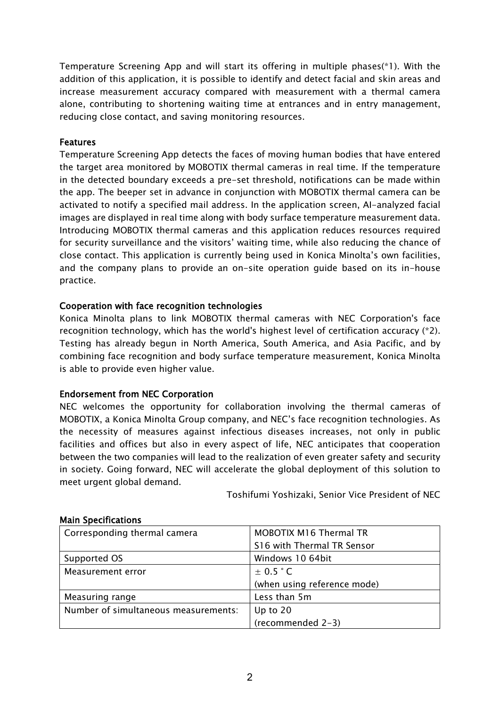Temperature Screening App and will start its offering in multiple phases(\*1). With the addition of this application, it is possible to identify and detect facial and skin areas and increase measurement accuracy compared with measurement with a thermal camera alone, contributing to shortening waiting time at entrances and in entry management, reducing close contact, and saving monitoring resources.

#### Features

Temperature Screening App detects the faces of moving human bodies that have entered the target area monitored by MOBOTIX thermal cameras in real time. If the temperature in the detected boundary exceeds a pre-set threshold, notifications can be made within the app. The beeper set in advance in conjunction with MOBOTIX thermal camera can be activated to notify a specified mail address. In the application screen, AI-analyzed facial images are displayed in real time along with body surface temperature measurement data. Introducing MOBOTIX thermal cameras and this application reduces resources required for security surveillance and the visitors' waiting time, while also reducing the chance of close contact. This application is currently being used in Konica Minolta's own facilities, and the company plans to provide an on-site operation guide based on its in-house practice.

### Cooperation with face recognition technologies

Konica Minolta plans to link MOBOTIX thermal cameras with NEC Corporation's face recognition technology, which has the world's highest level of certification accuracy (\*2). Testing has already begun in North America, South America, and Asia Pacific, and by combining face recognition and body surface temperature measurement, Konica Minolta is able to provide even higher value.

### Endorsement from NEC Corporation

NEC welcomes the opportunity for collaboration involving the thermal cameras of MOBOTIX, a Konica Minolta Group company, and NEC's face recognition technologies. As the necessity of measures against infectious diseases increases, not only in public facilities and offices but also in every aspect of life, NEC anticipates that cooperation between the two companies will lead to the realization of even greater safety and security in society. Going forward, NEC will accelerate the global deployment of this solution to meet urgent global demand.

Toshifumi Yoshizaki, Senior Vice President of NEC

| Corresponding thermal camera         | MOBOTIX M16 Thermal TR      |
|--------------------------------------|-----------------------------|
|                                      | S16 with Thermal TR Sensor  |
| Supported OS                         | Windows 10 64bit            |
| Measurement error                    | $\pm$ 0.5 $\degree$ C       |
|                                      | (when using reference mode) |
| Measuring range                      | Less than 5m                |
| Number of simultaneous measurements: | Up to $20$                  |
|                                      | (recommended 2-3)           |

#### Main Specifications